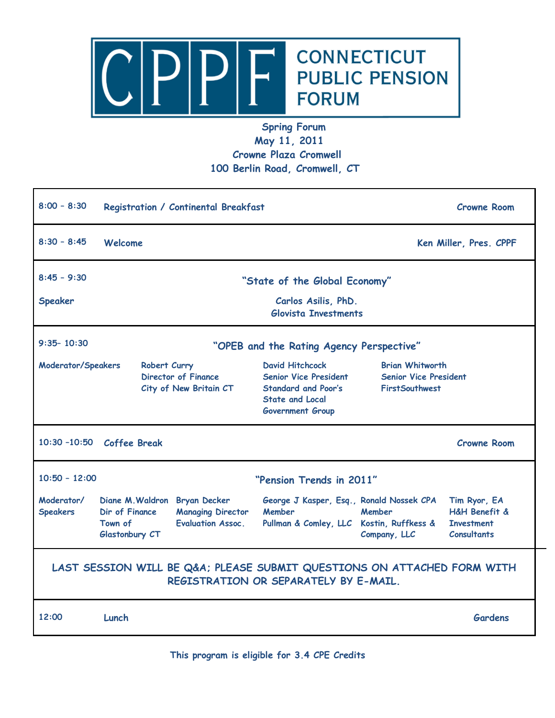

## **Spring Forum May 11, 2011 Crowne Plaza Cromwell 100 Berlin Road, Cromwell, CT**

| $8:00 - 8:30$                                                                                                   | Registration / Continental Breakfast                                                                                                 |                                                                                                                                           |                                                                                 | <b>Crowne Room</b>                                                                      |  |
|-----------------------------------------------------------------------------------------------------------------|--------------------------------------------------------------------------------------------------------------------------------------|-------------------------------------------------------------------------------------------------------------------------------------------|---------------------------------------------------------------------------------|-----------------------------------------------------------------------------------------|--|
| $8:30 - 8:45$                                                                                                   | Welcome                                                                                                                              |                                                                                                                                           |                                                                                 | Ken Miller, Pres. CPPF                                                                  |  |
| $8:45 - 9:30$                                                                                                   | "State of the Global Economy"                                                                                                        |                                                                                                                                           |                                                                                 |                                                                                         |  |
| Speaker                                                                                                         | Carlos Asilis, PhD.<br><b>Glovista Investments</b>                                                                                   |                                                                                                                                           |                                                                                 |                                                                                         |  |
| $9:35 - 10:30$<br>"OPEB and the Rating Agency Perspective"                                                      |                                                                                                                                      |                                                                                                                                           |                                                                                 |                                                                                         |  |
| Moderator/Speakers                                                                                              | Robert Curry<br><b>Director of Finance</b><br>City of New Britain CT                                                                 | <b>David Hitchcock</b><br><b>Senior Vice President</b><br><b>Standard and Poor's</b><br><b>State and Local</b><br><b>Government Group</b> | <b>Brian Whitworth</b><br><b>Senior Vice President</b><br><b>FirstSouthwest</b> |                                                                                         |  |
|                                                                                                                 | 10:30 -10:50 Coffee Break                                                                                                            |                                                                                                                                           |                                                                                 | <b>Crowne Room</b>                                                                      |  |
| $10:50 - 12:00$<br>"Pension Trends in 2011"                                                                     |                                                                                                                                      |                                                                                                                                           |                                                                                 |                                                                                         |  |
| Moderator/<br><b>Speakers</b>                                                                                   | Diane M. Waldron Bryan Decker<br>Dir of Finance<br><b>Managing Director</b><br><b>Evaluation Assoc.</b><br>Town of<br>Glastonbury CT | George J Kasper, Esq., Ronald Nossek CPA<br><b>Member</b><br>Pullman & Comley, LLC Kostin, Ruffkess &                                     | Member<br>Company, LLC                                                          | Tim Ryor, EA<br><b>H&amp;H Benefit &amp;</b><br><b>Investment</b><br><b>Consultants</b> |  |
| LAST SESSION WILL BE Q&A PLEASE SUBMIT QUESTIONS ON ATTACHED FORM WITH<br>REGISTRATION OR SEPARATELY BY E-MAIL. |                                                                                                                                      |                                                                                                                                           |                                                                                 |                                                                                         |  |
| 12:00                                                                                                           | Lunch                                                                                                                                |                                                                                                                                           |                                                                                 | <b>Gardens</b>                                                                          |  |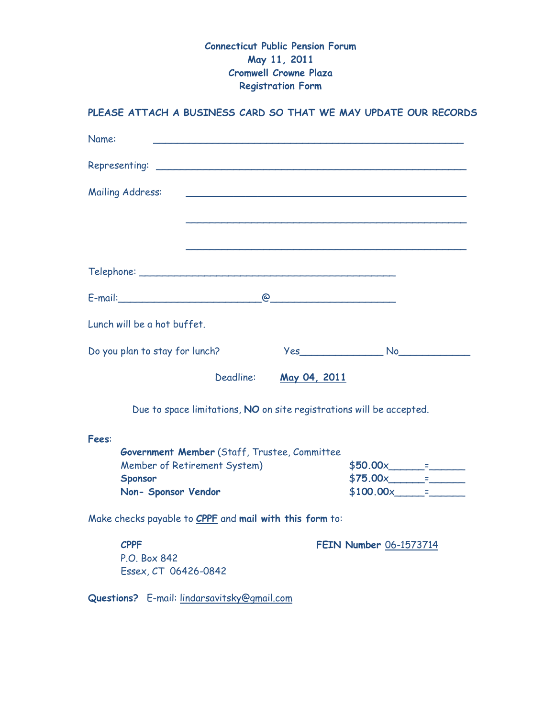## **Connecticut Public Pension Forum May 11, 2011 Cromwell Crowne Plaza Registration Form**

## **PLEASE ATTACH A BUSINESS CARD SO THAT WE MAY UPDATE OUR RECORDS**

| Name:                                                                |                                                                                                                                                                                                                                                                                                                                                                                                                                   |  |  |  |  |
|----------------------------------------------------------------------|-----------------------------------------------------------------------------------------------------------------------------------------------------------------------------------------------------------------------------------------------------------------------------------------------------------------------------------------------------------------------------------------------------------------------------------|--|--|--|--|
|                                                                      |                                                                                                                                                                                                                                                                                                                                                                                                                                   |  |  |  |  |
| <b>Mailing Address:</b>                                              |                                                                                                                                                                                                                                                                                                                                                                                                                                   |  |  |  |  |
|                                                                      |                                                                                                                                                                                                                                                                                                                                                                                                                                   |  |  |  |  |
|                                                                      |                                                                                                                                                                                                                                                                                                                                                                                                                                   |  |  |  |  |
|                                                                      |                                                                                                                                                                                                                                                                                                                                                                                                                                   |  |  |  |  |
| $E$ -mail: $Q$                                                       |                                                                                                                                                                                                                                                                                                                                                                                                                                   |  |  |  |  |
| Lunch will be a hot buffet.                                          |                                                                                                                                                                                                                                                                                                                                                                                                                                   |  |  |  |  |
| Do you plan to stay for lunch?                                       | <u>Yes</u>                                                                                                                                                                                                                                                                                                                                                                                                                        |  |  |  |  |
| Deadline:                                                            | May 04, 2011                                                                                                                                                                                                                                                                                                                                                                                                                      |  |  |  |  |
| Due to space limitations, NO on site registrations will be accepted. |                                                                                                                                                                                                                                                                                                                                                                                                                                   |  |  |  |  |
| Fees:                                                                |                                                                                                                                                                                                                                                                                                                                                                                                                                   |  |  |  |  |
| Government Member (Staff, Trustee, Committee                         |                                                                                                                                                                                                                                                                                                                                                                                                                                   |  |  |  |  |
| Member of Retirement System)                                         | $$50.00x$ = $$70.00x$                                                                                                                                                                                                                                                                                                                                                                                                             |  |  |  |  |
| Sponsor<br>Non- Sponsor Vendor                                       | $$75.00x$ =<br>$$100.00 \times 700 \times 700 \times 700 \times 700 \times 700 \times 700 \times 700 \times 700 \times 700 \times 700 \times 700 \times 700 \times 700 \times 700 \times 700 \times 700 \times 700 \times 700 \times 700 \times 700 \times 700 \times 700 \times 700 \times 700 \times 700 \times 700 \times 700 \times 700 \times 700 \times 700 \times 700 \times 700 \times 700 \times 700 \times 700 \times $ |  |  |  |  |
| Make checks payable to CPPF and mail with this form to:              |                                                                                                                                                                                                                                                                                                                                                                                                                                   |  |  |  |  |
| <b>CPPF</b><br>P.O. Box 842<br>Essex, CT 06426-0842                  | FEIN Number 06-1573714                                                                                                                                                                                                                                                                                                                                                                                                            |  |  |  |  |
| Questions? E-mail: lindarsavitsky@gmail.com                          |                                                                                                                                                                                                                                                                                                                                                                                                                                   |  |  |  |  |